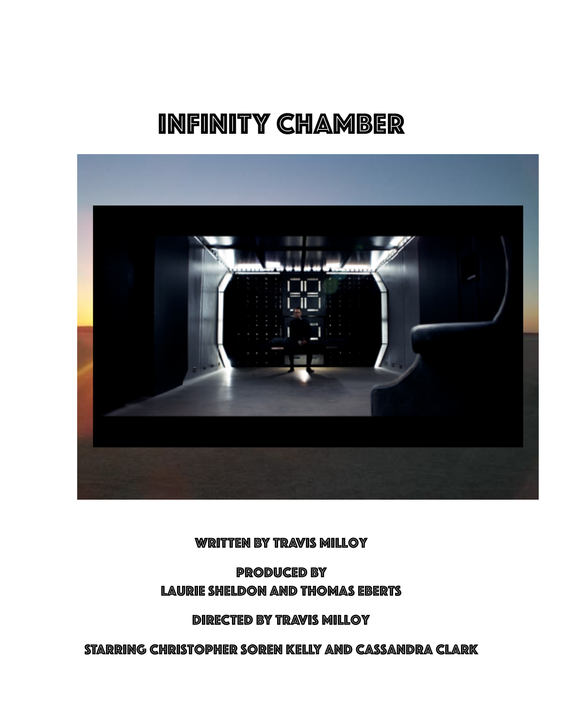# INFINITY CHAMBER



WRITTEN BY TRAVIS MILLOY

PRODUCED BY Laurie Sheldon and THOMAS Eberts

DIRECTED BY Travis Milloy

STARRING Christopher Soren Kelly and Cassandra Clark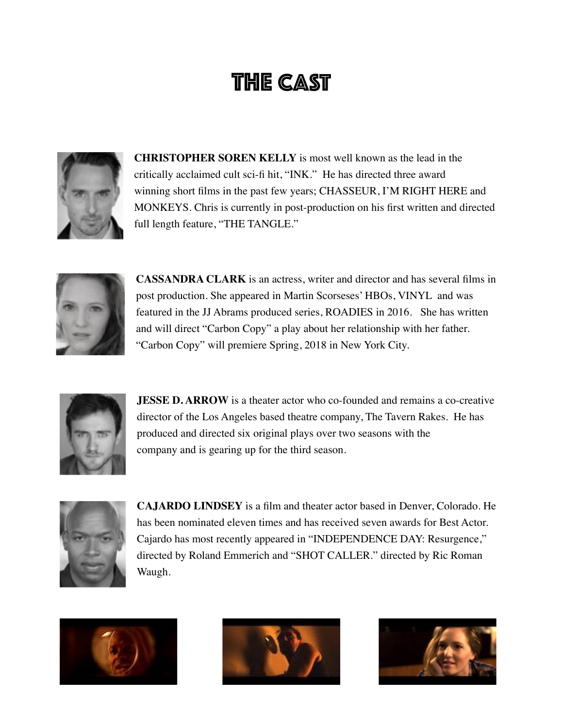# THE CAST



**CHRISTOPHER SOREN KELLY** is most well known as the lead in the critically acclaimed cult sci-fi hit, "INK." He has directed three award winning short films in the past few years; CHASSEUR, I'M RIGHT HERE and MONKEYS. Chris is currently in post-production on his first written and directed full length feature, "THE TANGLE."



**CASSANDRA CLARK** is an actress, writer and director and has several films in post production. She appeared in Martin Scorseses' HBOs, VINYL and was featured in the JJ Abrams produced series, ROADIES in 2016. She has written and will direct "Carbon Copy" a play about her relationship with her father. "Carbon Copy" will premiere Spring, 2018 in New York City.



**JESSE D. ARROW** is a theater actor who co-founded and remains a co-creative director of the Los Angeles based theatre company, The Tavern Rakes. He has produced and directed six original plays over two seasons with the company and is gearing up for the third season.



**CAJARDO LINDSEY** is a film and theater actor based in Denver, Colorado. He has been nominated eleven times and has received seven awards for Best Actor. Cajardo has most recently appeared in "INDEPENDENCE DAY: Resurgence," directed by Roland Emmerich and "SHOT CALLER." directed by Ric Roman Waugh.





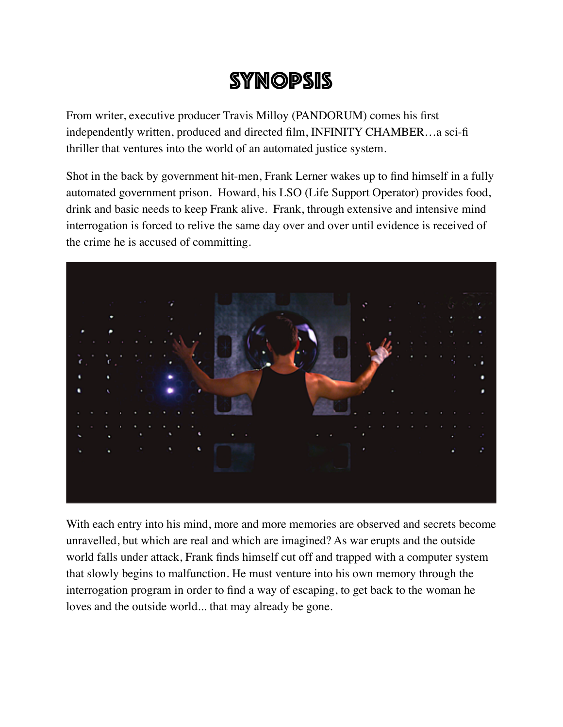## SYNOPSIS

From writer, executive producer Travis Milloy (PANDORUM) comes his first independently written, produced and directed film, INFINITY CHAMBER…a sci-fi thriller that ventures into the world of an automated justice system.

Shot in the back by government hit-men, Frank Lerner wakes up to find himself in a fully automated government prison. Howard, his LSO (Life Support Operator) provides food, drink and basic needs to keep Frank alive. Frank, through extensive and intensive mind interrogation is forced to relive the same day over and over until evidence is received of the crime he is accused of committing.



With each entry into his mind, more and more memories are observed and secrets become unravelled, but which are real and which are imagined? As war erupts and the outside world falls under attack, Frank finds himself cut off and trapped with a computer system that slowly begins to malfunction. He must venture into his own memory through the interrogation program in order to find a way of escaping, to get back to the woman he loves and the outside world... that may already be gone.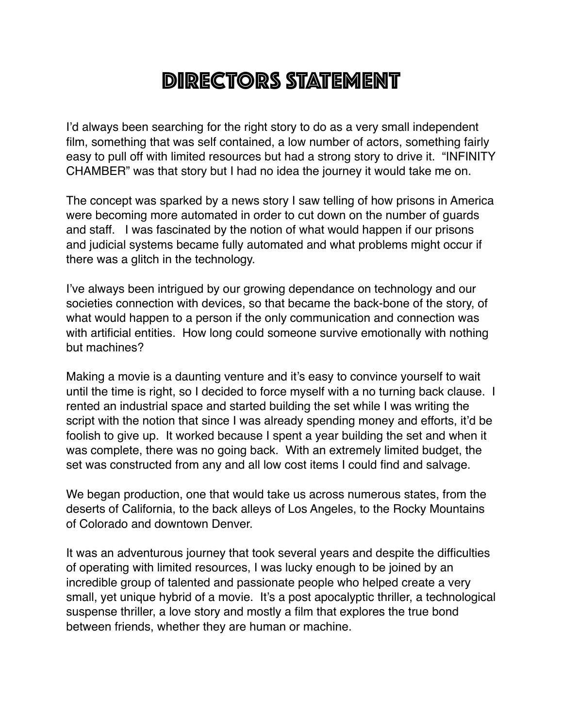## DIRECTORS STATEMENT

I'd always been searching for the right story to do as a very small independent film, something that was self contained, a low number of actors, something fairly easy to pull off with limited resources but had a strong story to drive it. "INFINITY CHAMBER" was that story but I had no idea the journey it would take me on.

The concept was sparked by a news story I saw telling of how prisons in America were becoming more automated in order to cut down on the number of guards and staff. I was fascinated by the notion of what would happen if our prisons and judicial systems became fully automated and what problems might occur if there was a glitch in the technology.

I've always been intrigued by our growing dependance on technology and our societies connection with devices, so that became the back-bone of the story, of what would happen to a person if the only communication and connection was with artificial entities. How long could someone survive emotionally with nothing but machines?

Making a movie is a daunting venture and it's easy to convince yourself to wait until the time is right, so I decided to force myself with a no turning back clause. I rented an industrial space and started building the set while I was writing the script with the notion that since I was already spending money and efforts, it'd be foolish to give up. It worked because I spent a year building the set and when it was complete, there was no going back. With an extremely limited budget, the set was constructed from any and all low cost items I could find and salvage.

We began production, one that would take us across numerous states, from the deserts of California, to the back alleys of Los Angeles, to the Rocky Mountains of Colorado and downtown Denver.

It was an adventurous journey that took several years and despite the difficulties of operating with limited resources, I was lucky enough to be joined by an incredible group of talented and passionate people who helped create a very small, yet unique hybrid of a movie. It's a post apocalyptic thriller, a technological suspense thriller, a love story and mostly a film that explores the true bond between friends, whether they are human or machine.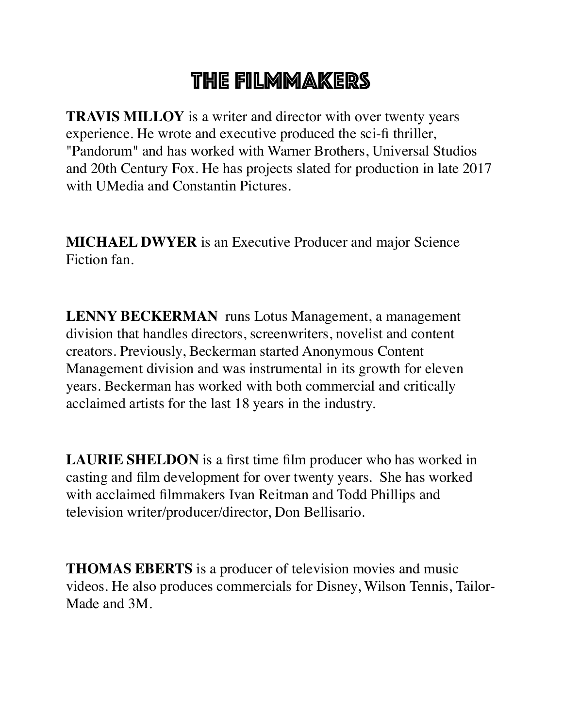## THE FILMMAKERS

**TRAVIS MILLOY** is a writer and director with over twenty years experience. He wrote and executive produced the sci-fi thriller, "Pandorum" and has worked with Warner Brothers, Universal Studios and 20th Century Fox. He has projects slated for production in late 2017 with UMedia and Constantin Pictures.

**MICHAEL DWYER** is an Executive Producer and major Science Fiction fan.

**LENNY BECKERMAN** runs Lotus Management, a management division that handles directors, screenwriters, novelist and content creators. Previously, Beckerman started Anonymous Content Management division and was instrumental in its growth for eleven years. Beckerman has worked with both commercial and critically acclaimed artists for the last 18 years in the industry.

**LAURIE SHELDON** is a first time film producer who has worked in casting and film development for over twenty years. She has worked with acclaimed filmmakers Ivan Reitman and Todd Phillips and television writer/producer/director, Don Bellisario.

**THOMAS EBERTS** is a producer of television movies and music videos. He also produces commercials for Disney, Wilson Tennis, Tailor-Made and 3M.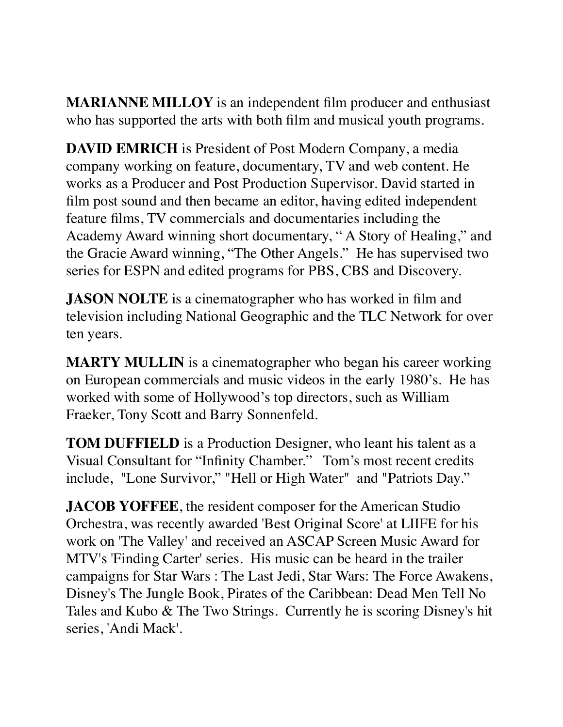**MARIANNE MILLOY** is an independent film producer and enthusiast who has supported the arts with both film and musical youth programs.

**DAVID EMRICH** is President of Post Modern Company, a media company working on feature, documentary, TV and web content. He works as a Producer and Post Production Supervisor. David started in film post sound and then became an editor, having edited independent feature films, TV commercials and documentaries including the Academy Award winning short documentary, " A Story of Healing," and the Gracie Award winning, "The Other Angels." He has supervised two series for ESPN and edited programs for PBS, CBS and Discovery.

**JASON NOLTE** is a cinematographer who has worked in film and television including National Geographic and the TLC Network for over ten years.

**MARTY MULLIN** is a cinematographer who began his career working on European commercials and music videos in the early 1980's. He has worked with some of Hollywood's top directors, such as William Fraeker, Tony Scott and Barry Sonnenfeld.

**TOM DUFFIELD** is a Production Designer, who leant his talent as a Visual Consultant for "Infinity Chamber." Tom's most recent credits include, "Lone Survivor," "Hell or High Water" and "Patriots Day."

**JACOB YOFFEE**, the resident composer for the American Studio Orchestra, was recently awarded 'Best Original Score' at LIIFE for his work on 'The Valley' and received an ASCAP Screen Music Award for MTV's 'Finding Carter' series. His music can be heard in the trailer campaigns for Star Wars : The Last Jedi, Star Wars: The Force Awakens, Disney's The Jungle Book, Pirates of the Caribbean: Dead Men Tell No Tales and Kubo & The Two Strings. Currently he is scoring Disney's hit series, 'Andi Mack'.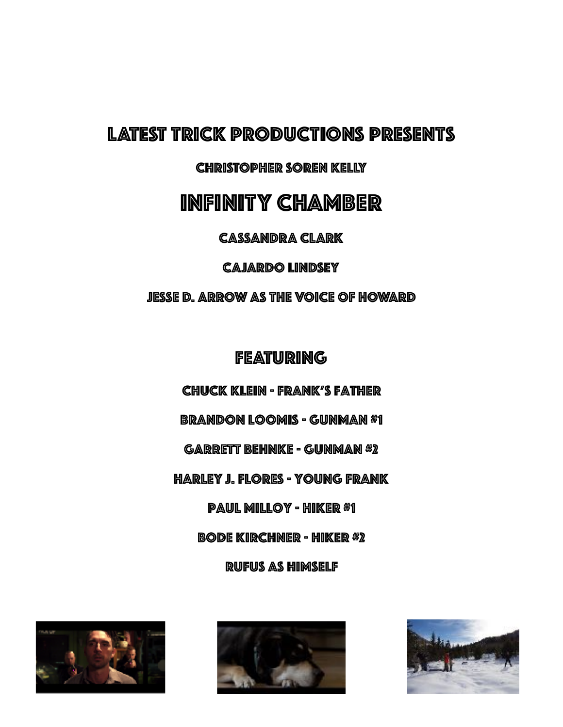### LATEST TRICK PRODUCTIONS PRESENTS

CHRISTOPHER SOREN KELLY

### INFINITY CHAMBER

CASSANDRA CLARK

CAJARDO LINDSEY

JESSE D. ARROW AS THE VOICE OF HOWARD

FEATURING

Chuck Klein - Frank's Father

Brandon Loomis - Gunman #1

Garrett Behnke - Gunman #2

Harley J. Flores - Young Frank

Paul Milloy - Hiker #1

Bode Kirchner - Hiker #2

Rufus As Himself





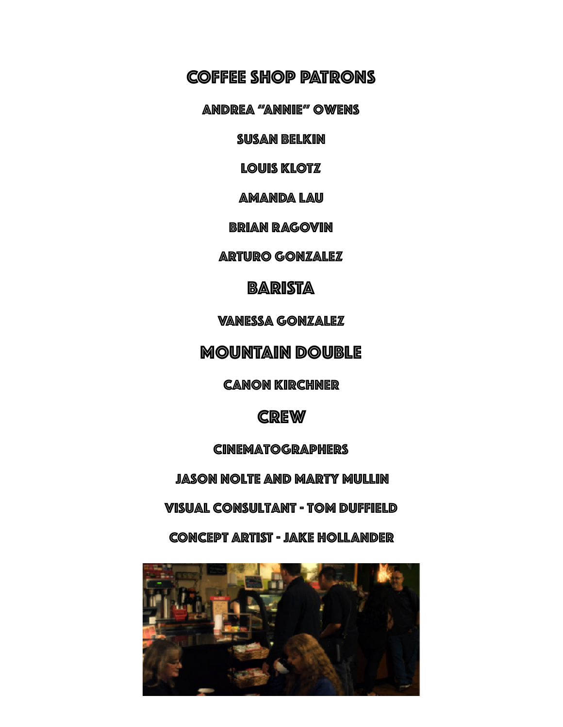### COFFEE SHOP PATRONS

Andrea "Annie" Owens

Susan Belkin

LOUIS KLOTZ

AMANDA LAU

BRIAN RAGOVIN

ARTURO GONZALEZ

BARISTA

Vanessa Gonzalez

MOUNTAIN DOUBLE

Canon Kirchner

**CREW** 

Cinematographers

Jason Nolte and Marty Mullin

Visual Consultant - Tom Duffield

CONCEPT ARTIST - JAKE HOLLANDER

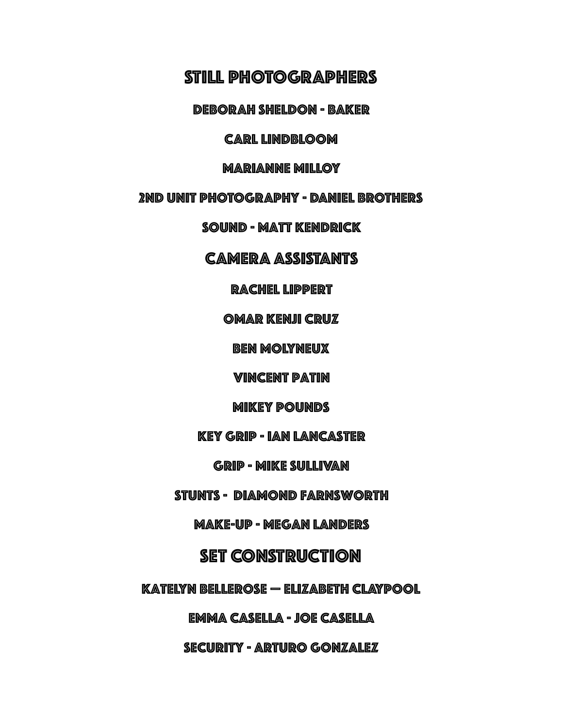### STILL PHOTOGRAPHERS

DEBORAH SHELDON - BAKER

#### CARL LINDBLOOM

#### MARIANNE MILLOY

#### 2nd UNIT PHOTOGRAPHY - DANIEL BROTHERS

SOUND - Matt Kendrick

#### CAMERA ASSISTANTS

#### Rachel lippert

#### omar kenji cruz

ben molyneux

vincent patin

#### mikey pounds

#### key grip - ian lancaster

#### grip - mike sullivan

#### Stunts - Diamond Farnsworth

#### make-up - megan landers

#### SET CONSTRUCTION

#### Katelyn bellerose — elizabeth claypool

#### emma casella - joe casella

#### security - arturo gonzalez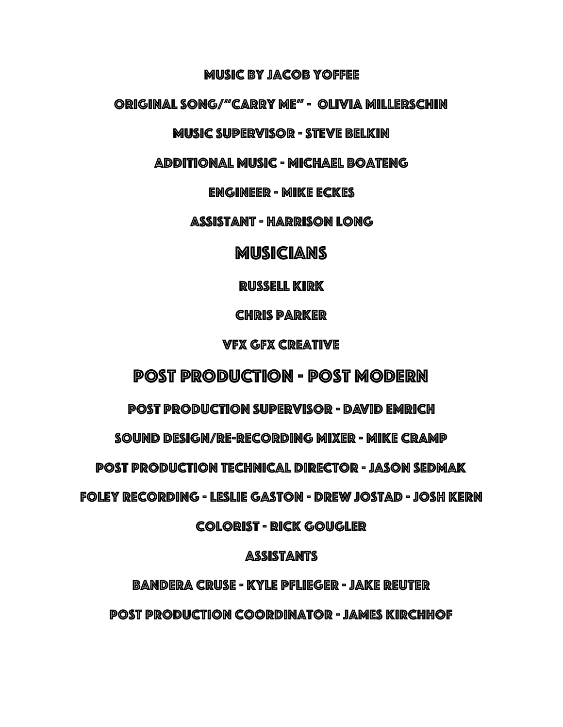#### Music By Jacob Yoffee

#### Original Song/"carry me" - Olivia Millerschin

#### MUSIC SUPERVISOR - steve belkin

additional music - michael boateng

engineer - mike eckes

assistant - harrison long

#### **MUSICIANS**

russell kirk

**CHRIS PARKER** 

#### VFX GFX Creative

### Post Production - Post Modern

post production supervisor - david eMrich

sound design/re-recording mixer - mike cramp

post production technical director - jason sedmak

foley recording - leslie gaston - drew jostAd - josh kern

colorist - rick gougLer

#### assistants

bandera cruse - kyle PflIeger - jake reuter

post production coordinator - james kirchhof